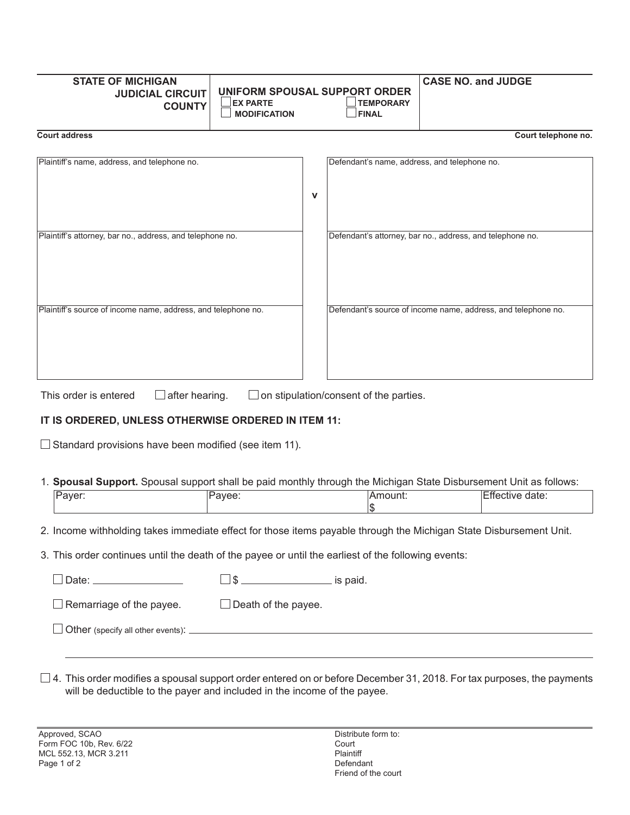| <b>STATE OF MICHIGAN</b><br><b>JUDICIAL CIRCUIT</b><br><b>COUNTY</b> | UNIFORM SPOUSAL SUPPORT ORDER<br><b>EX PARTE</b><br><b>MODIFICATION</b> |   | <b>TEMPORARY</b><br><b>FINAL</b>             | <b>CASE NO. and JUDGE</b>                                     |
|----------------------------------------------------------------------|-------------------------------------------------------------------------|---|----------------------------------------------|---------------------------------------------------------------|
| <b>Court address</b>                                                 |                                                                         |   |                                              | Court telephone no.                                           |
| Plaintiff's name, address, and telephone no.                         |                                                                         | v | Defendant's name, address, and telephone no. |                                                               |
| Plaintiff's attorney, bar no., address, and telephone no.            |                                                                         |   |                                              | Defendant's attorney, bar no., address, and telephone no.     |
| Plaintiff's source of income name, address, and telephone no.        |                                                                         |   |                                              | Defendant's source of income name, address, and telephone no. |

This order is entered  $\square$  after hearing.  $\square$  on stipulation/consent of the parties.

## **IT IS ORDERED, UNLESS OTHERWISE ORDERED IN ITEM 11:**

 $\Box$  Standard provisions have been modified (see item 11).

1. **Spousal Support.** Spousal support shall be paid monthly through the Michigan State Disbursement Unit as follows:

|  |  | _ |
|--|--|---|
|  |  |   |
|  |  |   |

2. Income withholding takes immediate effect for those items payable through the Michigan State Disbursement Unit.

3. This order continues until the death of the payee or until the earliest of the following events:

|  | is paid. |
|--|----------|
|  |          |

 $\Box$  Remarriage of the payee.  $\Box$  Death of the payee.

 $\Box$  Other (specify all other events):

 $\square$  4. This order modifies a spousal support order entered on or before December 31, 2018. For tax purposes, the payments will be deductible to the payer and included in the income of the payee.